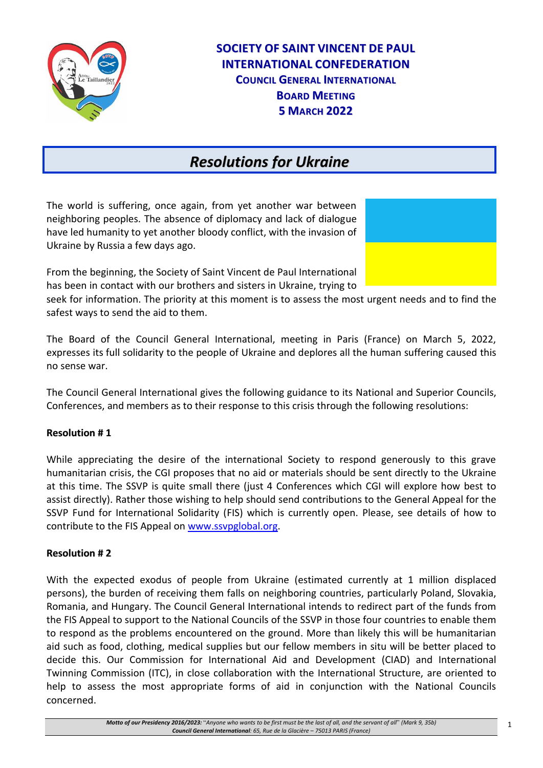

# **SOCIETY OF SAINT VINCENT DE PAUL INTERNATIONAL CONFEDERATION COUNCIL GENERAL INTERNATIONAL BOARD MEETING 5 MARCH 2022**

# *Resolutions for Ukraine*

The world is suffering, once again, from yet another war between neighboring peoples. The absence of diplomacy and lack of dialogue have led humanity to yet another bloody conflict, with the invasion of Ukraine by Russia a few days ago.

From the beginning, the Society of Saint Vincent de Paul International has been in contact with our brothers and sisters in Ukraine, trying to



seek for information. The priority at this moment is to assess the most urgent needs and to find the safest ways to send the aid to them.

The Board of the Council General International, meeting in Paris (France) on March 5, 2022, expresses its full solidarity to the people of Ukraine and deplores all the human suffering caused this no sense war.

The Council General International gives the following guidance to its National and Superior Councils, Conferences, and members as to their response to this crisis through the following resolutions:

## **Resolution # 1**

While appreciating the desire of the international Society to respond generously to this grave humanitarian crisis, the CGI proposes that no aid or materials should be sent directly to the Ukraine at this time. The SSVP is quite small there (just 4 Conferences which CGI will explore how best to assist directly). Rather those wishing to help should send contributions to the General Appeal for the SSVP Fund for International Solidarity (FIS) which is currently open. Please, see details of how to contribute to the FIS Appeal on [www.ssvpglobal.org.](http://www.ssvpglobal.org/)

## **Resolution # 2**

With the expected exodus of people from Ukraine (estimated currently at 1 million displaced persons), the burden of receiving them falls on neighboring countries, particularly Poland, Slovakia, Romania, and Hungary. The Council General International intends to redirect part of the funds from the FIS Appeal to support to the National Councils of the SSVP in those four countries to enable them to respond as the problems encountered on the ground. More than likely this will be humanitarian aid such as food, clothing, medical supplies but our fellow members in situ will be better placed to decide this. Our Commission for International Aid and Development (CIAD) and International Twinning Commission (ITC), in close collaboration with the International Structure, are oriented to help to assess the most appropriate forms of aid in conjunction with the National Councils concerned.